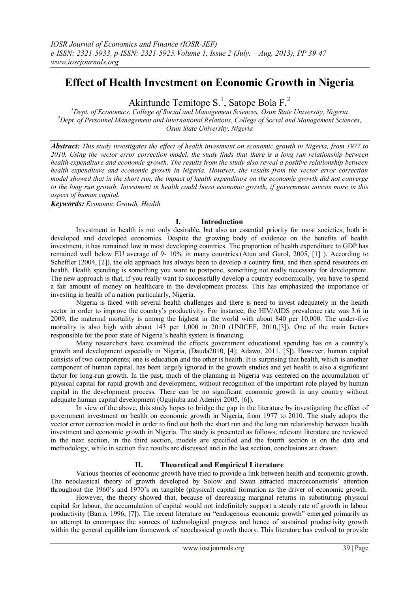# **Effect of Health Investment on Economic Growth in Nigeria**

Akintunde Temitope S.<sup>1</sup>, Satope Bola F.<sup>2</sup>

*<sup>1</sup>Dept. of Economics, College of Social and Management Sciences, Osun State University, Nigeria <sup>2</sup>Dept. of Personnel Management and International Relations, College of Social and Management Sciences, Osun State University, Nigeria*

*Abstract: This study investigates the effect of health investment on economic growth in Nigeria, from 1977 to 2010. Using the vector error correction model, the study finds that there is a long run relationship between health expenditure and economic growth. The results from the study also reveal a positive relationship between health expenditure and economic growth in Nigeria. However, the results from the vector error correction model showed that in the short run, the impact of health expenditure on the economic growth did not converge to the long run growth. Investment in health could boost economic growth, if government invests more in this aspect of human capital.*

*Keywords: Economic Growth, Health*

### **I. Introduction**

Investment in health is not only desirable, but also an essential priority for most societies, both in developed and developed economies. Despite the growing body of evidence on the benefits of health investment, it has remained low in most developing countries. The proportion of health expenditure to GDP has remained well below EU average of 9- 10% in many countries.(Atun and Gurol, 2005, [1] ). According to Scheffler (2004, [2]), the old approach has always been to develop a country first, and then spend resources on health. Health spending is something you want to postpone, something not really necessary for development. The new approach is that, if you really want to successfully develop a country economically, you have to spend a fair amount of money on healthcare in the development process. This has emphasized the importance of investing in health of a nation particularly, Nigeria.

Nigeria is faced with several health challenges and there is need to invest adequately in the health sector in order to improve the country's productivity. For instance, the HIV/AIDS prevalence rate was 3.6 in 2009, the maternal mortality is among the highest in the world with about 840 per 10,000. The under-five mortality is also high with about 143 per 1,000 in 2010 (UNICEF, 2010,[3]). One of the main factors responsible for the poor state of Nigeria"s health system is financing.

Many researchers have examined the effects government educational spending has on a country"s growth and development especially in Nigeria, (Dauda2010, [4]; Adawo, 2011, [5]). However, human capital consists of two components; one is education and the other is health. It is surprising that health, which is another component of human capital, has been largely ignored in the growth studies and yet health is also a significant factor for long-run growth. In the past, much of the planning in Nigeria was centered on the accumulation of physical capital for rapid growth and development, without recognition of the important role played by human capital in the development process. There can be no significant economic growth in any country without adequate human capital development (Ogujiuba and Adeniyi 2005, [6]).

In view of the above, this study hopes to bridge the gap in the literature by investigating the effect of government investment on health on economic growth in Nigeria, from 1977 to 2010. The study adopts the vector error correction model in order to find out both the short run and the long run relationship between health investment and economic growth in Nigeria. The study is presented as follows; relevant literature are reviewed in the next section, in the third section, models are specified and the fourth section is on the data and methodology, while in section five results are discussed and in the last section, conclusions are drawn.

# **II. Theoretical and Empirical Literature**

Various theories of economic growth have tried to provide a link between health and economic growth. The neoclassical theory of growth developed by Solow and Swan attracted macroeconomists" attention throughout the 1960"s and 1970"s on tangible (physical) capital formation as the driver of economic growth.

However, the theory showed that, because of decreasing marginal returns in substituting physical capital for labour, the accumulation of capital would not indefinitely support a steady rate of growth in labour productivity (Barro, 1996, [7]). The recent literature on "endogenous economic growth" emerged primarily as an attempt to encompass the sources of technological progress and hence of sustained productivity growth within the general equilibrium framework of neoclassical growth theory. This literature has evolved to provide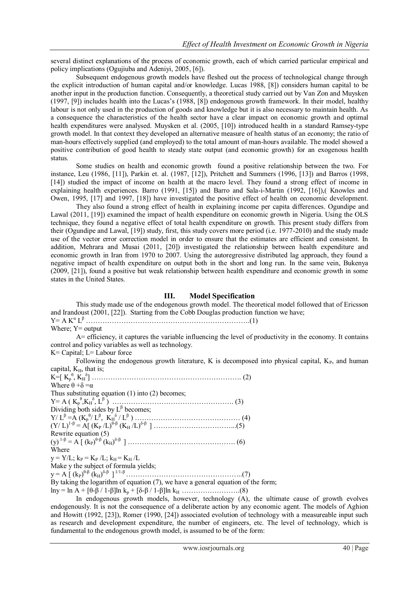several distinct explanations of the process of economic growth, each of which carried particular empirical and policy implications (Ogujiuba and Adeniyi, 2005, [6]).

Subsequent endogenous growth models have fleshed out the process of technological change through the explicit introduction of human capital and/or knowledge. Lucas 1988, [8]) considers human capital to be another input in the production function. Consequently, a theoretical study carried out by Van Zon and Muysken (1997, [9]) includes health into the Lucas"s (1988, [8]) endogenous growth framework. In their model, healthy labour is not only used in the production of goods and knowledge but it is also necessary to maintain health. As a consequence the characteristics of the health sector have a clear impact on economic growth and optimal health expenditures were analysed. Muysken et al. (2005, [10]) introduced health in a standard Ramsey-type growth model. In that context they developed an alternative measure of health status of an economy; the ratio of man-hours effectively supplied (and employed) to the total amount of man-hours available. The model showed a positive contribution of good health to steady state output (and economic growth) for an exogenous health status.

Some studies on health and economic growth found a positive relationship between the two. For instance, Leu (1986, [11]), Parkin et. al. (1987, [12]), Pritchett and Summers (1996, [13]) and Barros (1998, [14]) studied the impact of income on health at the macro level. They found a strong effect of income in explaining health experiences. Barro (1991, [15]) and Barro and Sala-i-Martin (1992, [16]),( Knowles and Owen, 1995, [17] and 1997, [18]) have investigated the positive effect of health on economic development.

They also found a strong effect of health in explaining income per capita differences. Ogundipe and Lawal (2011, [19]) examined the impact of health expenditure on economic growth in Nigeria. Using the OLS technique, they found a negative effect of total health expenditure on growth. This present study differs from their (Ogundipe and Lawal, [19]) study, first, this study covers more period (i.e. 1977-2010) and the study made use of the vector error correction model in order to ensure that the estimates are efficient and consistent. In addition, Mehrara and Musai (2011, [20]) investigated the relationship between health expenditure and economic growth in Iran from 1970 to 2007. Using the autoregressive distributed lag approach, they found a negative impact of health expenditure on output both in the short and long run. In the same vein, Bukenya (2009, [21]), found a positive but weak relationship between health expenditure and economic growth in some states in the United States.

#### **III. Model Specification**

This study made use of the endogenous growth model. The theoretical model followed that of Ericsson and Irandoust (2001, [22]). Starting from the Cobb Douglas production function we have;

Y= A K<sup>α</sup> L <sup>β</sup> …………………………………………………………….(1)

Where; Y= output

A= efficiency, it captures the variable influencing the level of productivity in the economy. It contains control and policy variables as well as technology.

K= Capital; L= Labour force

Following the endogenous growth literature, K is decomposed into physical capital,  $K_{P}$ , and human capital,  $K_H$ , that is;

| Where $\theta + \delta = \alpha$                                                 |  |
|----------------------------------------------------------------------------------|--|
| Thus substituting equation $(1)$ into $(2)$ becomes;                             |  |
|                                                                                  |  |
| Dividing both sides by $L^{\beta}$ becomes;                                      |  |
|                                                                                  |  |
|                                                                                  |  |
| Rewrite equation (5)                                                             |  |
|                                                                                  |  |
| Where                                                                            |  |
| $y = Y/L$ ; $k_P = K_P/L$ ; $k_H = K_H/L$                                        |  |
| Make y the subject of formula yields;                                            |  |
|                                                                                  |  |
| By taking the logarithm of equation (7), we have a general equation of the form; |  |

lny = ln A + [θ-β / 1-β]ln k<sub>p</sub> + [δ-β / 1-β]ln k<sub>H</sub> …………………….(8)

In endogenous growth models, however, technology (A), the ultimate cause of growth evolves endogenously. It is not the consequence of a deliberate action by any economic agent. The models of Aghion and Howitt (1992, [23]), Romer (1990, [24]) associated evolution of technology with a measureable input such as research and development expenditure, the number of engineers, etc. The level of technology, which is fundamental to the endogenous growth model, is assumed to be of the form: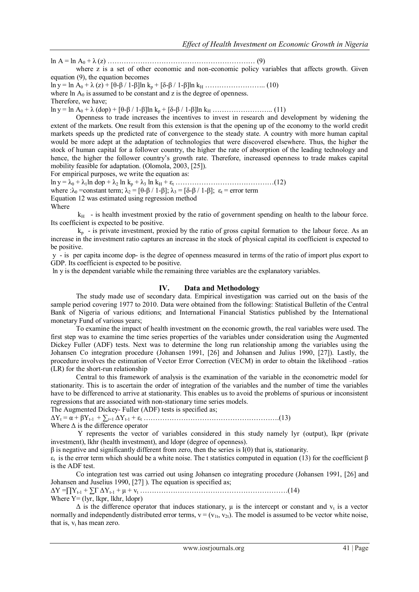ln A = ln A<sup>0</sup> + λ (z) ……………………………………………………… (9) where z is a set of other economic and non-economic policy variables that affects growth. Given

equation (9), the equation becomes

ln y = ln A<sub>0</sub> + λ (z) + [θ-β / 1-β]ln k<sub>p</sub> + [δ-β / 1-β]ln k<sub>H</sub> …………………….. (10)

where  $\ln A_0$  is assumed to be constant and z is the degree of openness.

Therefore, we have;

ln y = ln A<sub>0</sub> + λ (dop) + [θ-β / 1-β]ln k<sub>p</sub> + [δ-β / 1-β]ln k<sub>H</sub> …………………….. (11)

Openness to trade increases the incentives to invest in research and development by widening the extent of the markets. One result from this extension is that the opening up of the economy to the world credit markets speeds up the predicted rate of convergence to the steady state. A country with more human capital would be more adept at the adaptation of technologies that were discovered elsewhere. Thus, the higher the stock of human capital for a follower country, the higher the rate of absorption of the leading technology and hence, the higher the follower country's growth rate. Therefore, increased openness to trade makes capital mobility feasible for adaptation. (Olomola, 2003, [25]).

For empirical purposes, we write the equation as:

ln y = λ<sup>0</sup> + λ1ln dop + λ<sup>2</sup> ln k<sup>p</sup> + λ<sup>3</sup> ln k<sup>H</sup> + ε<sup>t</sup> ……………………………………(12)

where : $\lambda_0$  =constant term;  $\lambda_2 = [\theta - \beta / 1 - \beta]$ ;  $\lambda_3 = [\delta - \beta / 1 - \beta]$ ;  $\varepsilon_t$  = error term

Equation 12 was estimated using regression method

Where

 $k_H$  - is health investment proxied by the ratio of government spending on health to the labour force. Its coefficient is expected to be positive.

 $k<sub>p</sub>$  - is private investment, proxied by the ratio of gross capital formation to the labour force. As an increase in the investment ratio captures an increase in the stock of physical capital its coefficient is expected to be positive.

y - is per capita income dop- is the degree of openness measured in terms of the ratio of import plus export to GDP. Its coefficient is expected to be positive.

ln y is the dependent variable while the remaining three variables are the explanatory variables.

### **IV. Data and Methodology**

The study made use of secondary data. Empirical investigation was carried out on the basis of the sample period covering 1977 to 2010. Data were obtained from the following: Statistical Bulletin of the Central Bank of Nigeria of various editions; and International Financial Statistics published by the International monetary Fund of various years;

To examine the impact of health investment on the economic growth, the real variables were used. The first step was to examine the time series properties of the variables under consideration using the Augmented Dickey Fuller (ADF) tests. Next was to determine the long run relationship among the variables using the Johansen Co integration procedure (Johansen 1991, [26] and Johansen and Julius 1990, [27]). Lastly, the procedure involves the estimation of Vector Error Correction (VECM) in order to obtain the likelihood –ratios (LR) for the short-run relationship

Central to this framework of analysis is the examination of the variable in the econometric model for stationarity. This is to ascertain the order of integration of the variables and the number of time the variables have to be differenced to arrive at stationarity. This enables us to avoid the problems of spurious or inconsistent regressions that are associated with non-stationary time series models.

The Augmented Dickey- Fuller (ADF) tests is specified as;

ΔY<sup>t</sup> = α + βYt-1 + ∑J=1 ΔYt-1 + ε<sup>t</sup> ………………………………………………….(13) Where  $\Delta$  is the difference operator

Y represents the vector of variables considered in this study namely lyr (output), lkpr (private investment), lkhr (health investment), and ldopr (degree of openness).

 $β$  is negative and significantly different from zero, then the series is I(0) that is, stationarity.

 $\varepsilon_t$  is the error term which should be a white noise. The t statistics computed in equation (13) for the coefficient  $\beta$ is the ADF test.

Co integration test was carried out using Johansen co integrating procedure (Johansen 1991, [26] and Johansen and Juselius 1990, [27] ). The equation is specified as;

ΔY =∏Yt-1 + ∑Γ ΔYt-1 + μ + v<sup>t</sup> ………………………………………………………(14) Where  $Y = (lyr, lkpr, lkhr, ldopr)$ 

 $\Delta$  is the difference operator that induces stationary,  $\mu$  is the intercept or constant and  $v_t$  is a vector normally and independently distributed error terms,  $v = (v_{1t}, v_{2t})$ . The model is assumed to be vector white noise, that is,  $v_t$  has mean zero.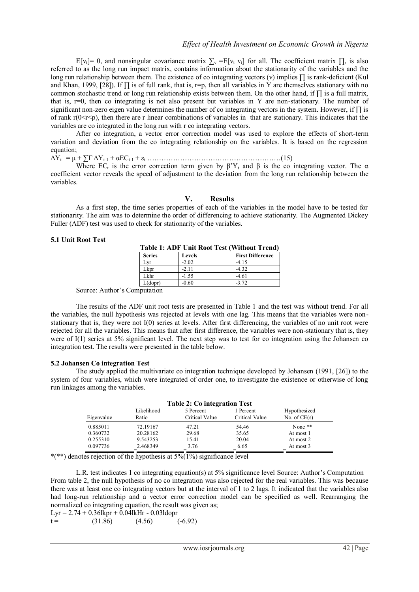E[v<sub>t</sub>]= 0, and nonsingular covariance matrix  $\sum_{v}$  =E[v<sub>t</sub> v<sub>t</sub>] for all. The coefficient matrix  $\prod_{v}$ , is also referred to as the long run impact matrix, contains information about the stationarity of the variables and the long run relationship between them. The existence of co integrating vectors (v) implies ∏ is rank-deficient (Kul and Khan, 1999, [28]). If  $\prod$  is of full rank, that is, r=p, then all variables in Y are themselves stationary with no common stochastic trend or long run relationship exists between them. On the other hand, if ∏ is a full matrix, that is, r=0, then co integrating is not also present but variables in Y are non-stationary. The number of significant non-zero eigen value determines the number of co integrating vectors in the system. However, if ∏ is of rank  $r(0 \le r \le p)$ , then there are r linear combinations of variables in that are stationary. This indicates that the variables are co integrated in the long run with r co integrating vectors.

After co integration, a vector error correction model was used to explore the effects of short-term variation and deviation from the co integrating relationship on the variables. It is based on the regression equation;

ΔYt = μ + ∑Γ ΔYt-1 + αECt-1 + ε<sup>t</sup> …………………………………………………(15)

Where EC<sub>t</sub> is the error correction term given by  $\beta'Y_t$  and  $\beta$  is the co integrating vector. The  $\alpha$ coefficient vector reveals the speed of adjustment to the deviation from the long run relationship between the variables.

#### **V. Results**

As a first step, the time series properties of each of the variables in the model have to be tested for stationarity. The aim was to determine the order of differencing to achieve stationarity. The Augmented Dickey Fuller (ADF) test was used to check for stationarity of the variables.

#### **5.1 Unit Root Test**

| <b>Table 1: ADF Unit Root Test (Without Trend)</b> |         |                         |  |  |
|----------------------------------------------------|---------|-------------------------|--|--|
| <b>Series</b>                                      | Levels  | <b>First Difference</b> |  |  |
| Lyr                                                | $-2.02$ | $-4.15$                 |  |  |
| Lkpr                                               | $-2.11$ | $-4.32$                 |  |  |
| Lkhr                                               | $-1.55$ | $-4.61$                 |  |  |
| L(dopr)                                            | $-0.60$ | $-372$                  |  |  |

Source: Author"s Computation

The results of the ADF unit root tests are presented in Table 1 and the test was without trend. For all the variables, the null hypothesis was rejected at levels with one lag. This means that the variables were nonstationary that is, they were not I(0) series at levels. After first differencing, the variables of no unit root were rejected for all the variables. This means that after first difference, the variables were non-stationary that is, they were of I(1) series at 5% significant level. The next step was to test for co integration using the Johansen co integration test. The results were presented in the table below.

#### **5.2 Johansen Co integration Test**

The study applied the multivariate co integration technique developed by Johansen (1991, [26]) to the system of four variables, which were integrated of order one, to investigate the existence or otherwise of long run linkages among the variables.

| <b>Table 2: Co integration Test</b> |                                                      |                |                |                |  |  |  |
|-------------------------------------|------------------------------------------------------|----------------|----------------|----------------|--|--|--|
|                                     | Likelihood<br>Hypothesized<br>1 Percent<br>5 Percent |                |                |                |  |  |  |
| Eigenvalue                          | Ratio                                                | Critical Value | Critical Value | No. of $CE(s)$ |  |  |  |
| 0.885011                            | 72.19167                                             | 47.21          | 54.46          | None $**$      |  |  |  |
| 0.360732                            | 20.28162                                             | 29.68          | 35.65          | At most 1      |  |  |  |
| 0.255310                            | 9.543253                                             | 15.41          | 20.04          | At most 2      |  |  |  |
| 0.097736                            | 2.468349                                             | 3.76           | 6.65           | At most 3      |  |  |  |

\*(\*\*) denotes rejection of the hypothesis at  $5\%$  ( $\frac{1\%}{1\%}$ ) significance level

L.R. test indicates 1 co integrating equation(s) at 5% significance level Source: Author"s Computation From table 2, the null hypothesis of no co integration was also rejected for the real variables. This was because there was at least one co integrating vectors but at the interval of 1 to 2 lags. It indicated that the variables also had long-run relationship and a vector error correction model can be specified as well. Rearranging the normalized co integrating equation, the result was given as:

$$
Lyr = 2.74 + 0.361kpr + 0.041kHr - 0.031dopr
$$
  
t = (31.86) (4.56) (-6.92)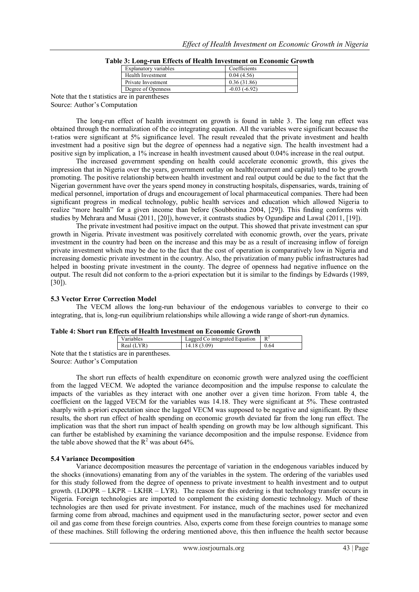| Explanatory variables | Coefficients   |
|-----------------------|----------------|
| Health Investment     | 0.04(4.56)     |
| Private Investment    | 0.36(31.86)    |
| Degree of Openness    | $-0.03(-6.92)$ |
| re in narentheses.    |                |

**Table 3: Long-run Effects of Health Investment on Economic Growth**

Note that the t statistics are in parentheses Source: Author"s Computation

The long-run effect of health investment on growth is found in table 3. The long run effect was obtained through the normalization of the co integrating equation. All the variables were significant because the t-ratios were significant at 5% significance level. The result revealed that the private investment and health investment had a positive sign but the degree of openness had a negative sign. The health investment had a positive sign by implication, a 1% increase in health investment caused about 0.04% increase in the real output.

The increased government spending on health could accelerate economic growth, this gives the impression that in Nigeria over the years, government outlay on health(recurrent and capital) tend to be growth promoting. The positive relationship between health investment and real output could be due to the fact that the Nigerian government have over the years spend money in constructing hospitals, dispensaries, wards, training of medical personnel, importation of drugs and encouragement of local pharmaceutical companies. There had been significant progress in medical technology, public health services and education which allowed Nigeria to realize "more health" for a given income than before (Soubbotina 2004, [29]). This finding conforms with studies by Mehrara and Musai (2011, [20]), however, it contrasts studies by Ogundipe and Lawal (2011, [19]).

The private investment had positive impact on the output. This showed that private investment can spur growth in Nigeria. Private investment was positively correlated with economic growth, over the years, private investment in the country had been on the increase and this may be as a result of increasing inflow of foreign private investment which may be due to the fact that the cost of operation is comparatively low in Nigeria and increasing domestic private investment in the country. Also, the privatization of many public infrastructures had helped in boosting private investment in the county. The degree of openness had negative influence on the output. The result did not conform to the a-priori expectation but it is similar to the findings by Edwards (1989, [30]).

# **5.3 Vector Error Correction Model**

The VECM allows the long-run behaviour of the endogenous variables to converge to their co integrating, that is, long-run equilibrium relationships while allowing a wide range of short-run dynamics.

| Table 4: Short run Effects of Health Investment on Economic Growth |  |
|--------------------------------------------------------------------|--|
|--------------------------------------------------------------------|--|

|                                                | Variables  | Lagged Co integrated Equation |      |
|------------------------------------------------|------------|-------------------------------|------|
|                                                | Real (LYR) | 14.18 (3.09)                  | 0.64 |
| Note that the t statistics are in parentheses. |            |                               |      |

Source: Author"s Computation

The short run effects of health expenditure on economic growth were analyzed using the coefficient from the lagged VECM. We adopted the variance decomposition and the impulse response to calculate the impacts of the variables as they interact with one another over a given time horizon. From table 4, the coefficient on the lagged VECM for the variables was 14.18. They were significant at 5%. These contrasted sharply with a-priori expectation since the lagged VECM was supposed to be negative and significant. By these results, the short run effect of health spending on economic growth deviated far from the long run effect. The implication was that the short run impact of health spending on growth may be low although significant. This can further be established by examining the variance decomposition and the impulse response. Evidence from the table above showed that the  $R^2$  was about 64%.

# **5.4 Variance Decomposition**

Variance decomposition measures the percentage of variation in the endogenous variables induced by the shocks (innovations) emanating from any of the variables in the system. The ordering of the variables used for this study followed from the degree of openness to private investment to health investment and to output growth. (LDOPR – LKPR – LKHR – LYR). The reason for this ordering is that technology transfer occurs in Nigeria. Foreign technologies are imported to complement the existing domestic technology. Much of these technologies are then used for private investment. For instance, much of the machines used for mechanized farming come from abroad, machines and equipment used in the manufacturing sector, power sector and even oil and gas come from these foreign countries. Also, experts come from these foreign countries to manage some of these machines. Still following the ordering mentioned above, this then influence the health sector because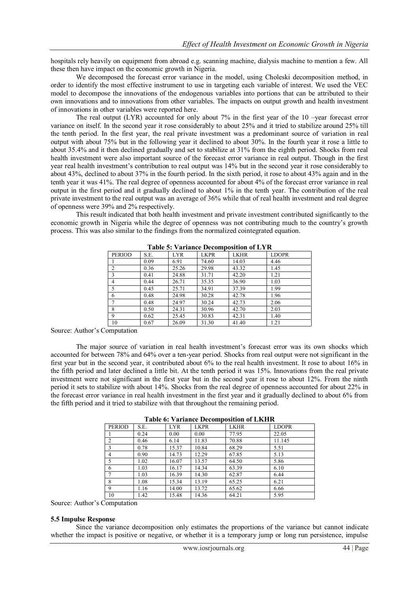hospitals rely heavily on equipment from abroad e.g. scanning machine, dialysis machine to mention a few. All these then have impact on the economic growth in Nigeria.

We decomposed the forecast error variance in the model, using Choleski decomposition method, in order to identify the most effective instrument to use in targeting each variable of interest. We used the VEC model to decompose the innovations of the endogenous variables into portions that can be attributed to their own innovations and to innovations from other variables. The impacts on output growth and health investment of innovations in other variables were reported here.

The real output  $(LYR)$  accounted for only about 7% in the first year of the 10 –year forecast error variance on itself. In the second year it rose considerably to about 25% and it tried to stabilize around 25% till the tenth period. In the first year, the real private investment was a predominant source of variation in real output with about 75% but in the following year it declined to about 30%. In the fourth year it rose a little to about 35.4% and it then declined gradually and set to stabilize at 31% from the eighth period. Shocks from real health investment were also important source of the forecast error variance in real output. Though in the first year real health investment"s contribution to real output was 14% but in the second year it rose considerably to about 43%, declined to about 37% in the fourth period. In the sixth period, it rose to about 43% again and in the tenth year it was 41%. The real degree of openness accounted for about 4% of the forecast error variance in real output in the first period and it gradually declined to about 1% in the tenth year. The contribution of the real private investment to the real output was an average of 36% while that of real health investment and real degree of openness were 39% and 2% respectively.

This result indicated that both health investment and private investment contributed significantly to the economic growth in Nigeria while the degree of openness was not contributing much to the country"s growth process. This was also similar to the findings from the normalized cointegrated equation.

| <b>PERIOD</b>  | S.E. | <b>LYR</b> | <b>LKPR</b> | <b>LKHR</b> | <b>LDOPR</b> |
|----------------|------|------------|-------------|-------------|--------------|
|                | 0.09 | 6.91       | 74.60       | 14.03       | 4.46         |
| $\overline{2}$ | 0.36 | 25.26      | 29.98       | 43.32       | 1.45         |
| 3              | 0.41 | 24.88      | 31.71       | 42.20       | 1.21         |
| 4              | 0.44 | 26.71      | 35.35       | 36.90       | 1.03         |
| 5              | 0.45 | 25.71      | 34.91       | 37.39       | 1.99         |
| 6              | 0.48 | 24.98      | 30.28       | 42.78       | 1.96         |
|                | 0.48 | 24.97      | 30.24       | 42.73       | 2.06         |
| 8              | 0.50 | 24.31      | 30.96       | 42.70       | 2.03         |
| 9              | 0.62 | 25.45      | 30.83       | 42.31       | 1.40         |
| 10             | 0.67 | 26.09      | 31.30       | 41.40       | 1.21         |

**Table 5: Variance Decomposition of LYR**

Source: Author"s Computation

The major source of variation in real health investment's forecast error was its own shocks which accounted for between 78% and 64% over a ten-year period. Shocks from real output were not significant in the first year but in the second year, it contributed about 6% to the real health investment. It rose to about 16% in the fifth period and later declined a little bit. At the tenth period it was 15%. Innovations from the real private investment were not significant in the first year but in the second year it rose to about 12%. From the ninth period it sets to stabilize with about 14%. Shocks from the real degree of openness accounted for about 22% in the forecast error variance in real health investment in the first year and it gradually declined to about 6% from the fifth period and it tried to stabilize with that throughout the remaining period.

| <b>PERIOD</b>  | S.E. | <b>LYR</b> | <b>LKPR</b> | <b>LKHR</b> | <b>LDOPR</b> |
|----------------|------|------------|-------------|-------------|--------------|
|                | 0.24 | 0.00       | 0.00        | 77.95       | 22.05        |
| 2              | 0.46 | 6.14       | 11.83       | 70.88       | 11.145       |
| 3              | 0.78 | 15.37      | 10.84       | 68.29       | 5.51         |
| $\overline{4}$ | 0.90 | 14.73      | 12.29       | 67.85       | 5.13         |
|                | 1.02 | 16.07      | 13.57       | 64.50       | 5.86         |
| 6              | 1.03 | 16.17      | 14.34       | 63.39       | 6.10         |
|                | 1.03 | 16.39      | 14.30       | 62.87       | 6.44         |
| 8              | 1.08 | 15.34      | 13.19       | 65.25       | 6.21         |
| $\mathbf Q$    | 1.16 | 14.00      | 13.72       | 65.62       | 6.66         |
| 10             | 1.42 | 15.48      | 14.36       | 64.21       | 5.95         |

**Table 6: Variance Decomposition of LKHR**

Source: Author"s Computation

#### **5.5 Impulse Response**

Since the variance decomposition only estimates the proportions of the variance but cannot indicate whether the impact is positive or negative, or whether it is a temporary jump or long run persistence, impulse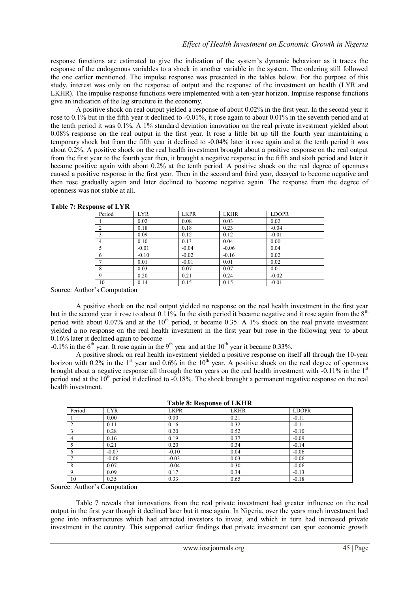response functions are estimated to give the indication of the system"s dynamic behaviour as it traces the response of the endogenous variables to a shock in another variable in the system. The ordering still followed the one earlier mentioned. The impulse response was presented in the tables below. For the purpose of this study, interest was only on the response of output and the response of the investment on health (LYR and LKHR). The impulse response functions were implemented with a ten-year horizon. Impulse response functions give an indication of the lag structure in the economy.

A positive shock on real output yielded a response of about 0.02% in the first year. In the second year it rose to 0.1% but in the fifth year it declined to -0.01%, it rose again to about 0.01% in the seventh period and at the tenth period it was 0.1%. A 1% standard deviation innovation on the real private investment yielded about 0.08% response on the real output in the first year. It rose a little bit up till the fourth year maintaining a temporary shock but from the fifth year it declined to -0.04% later it rose again and at the tenth period it was about 0.2%. A positive shock on the real health investment brought about a positive response on the real output from the first year to the fourth year then, it brought a negative response in the fifth and sixth period and later it became positive again with about 0.2% at the tenth period. A positive shock on the real degree of openness caused a positive response in the first year. Then in the second and third year, decayed to become negative and then rose gradually again and later declined to become negative again. The response from the degree of openness was not stable at all.

| Period         | <b>LYR</b> | <b>LKPR</b> | <b>LKHR</b> | <b>LDOPR</b> |
|----------------|------------|-------------|-------------|--------------|
|                | 0.02       | 0.08        | 0.03        | 0.02         |
| $\mathfrak{D}$ | 0.18       | 0.18        | 0.23        | $-0.04$      |
|                | 0.09       | 0.12        | 0.12        | $-0.01$      |
| $\overline{4}$ | 0.10       | 0.13        | 0.04        | 0.00         |
|                | $-0.01$    | $-0.04$     | $-0.06$     | 0.04         |
| 6              | $-0.10$    | $-0.02$     | $-0.16$     | 0.02         |
|                | 0.01       | $-0.01$     | 0.01        | 0.02         |
| 8              | 0.03       | 0.07        | 0.07        | 0.01         |
|                | 0.20       | 0.21        | 0.24        | $-0.02$      |
| 10             | 0.14       | 0.15        | 0.15        | $-0.01$      |

**Table 7: Response of LYR**

Source: Author"s Computation

A positive shock on the real output yielded no response on the real health investment in the first year but in the second year it rose to about 0.11%. In the sixth period it became negative and it rose again from the  $8<sup>th</sup>$ period with about 0.07% and at the  $10<sup>th</sup>$  period, it became 0.35. A 1% shock on the real private investment yielded a no response on the real health investment in the first year but rose in the following year to about 0.16% later it declined again to become

-0.1% in the  $6<sup>th</sup>$  year. It rose again in the 9<sup>th</sup> year and at the 10<sup>th</sup> year it became 0.33%.

A positive shock on real health investment yielded a positive response on itself all through the 10-year horizon with 0.2% in the  $1<sup>st</sup>$  year and 0.6% in the  $10<sup>th</sup>$  year. A positive shock on the real degree of openness brought about a negative response all through the ten years on the real health investment with -0.11% in the 1st period and at the  $10^{th}$  period it declined to -0.18%. The shock brought a permanent negative response on the real health investment.

|             | Tuote of Ilesponse of Effinit |             |             |              |  |  |
|-------------|-------------------------------|-------------|-------------|--------------|--|--|
| Period      | <b>LYR</b>                    | <b>LKPR</b> | <b>LKHR</b> | <b>LDOPR</b> |  |  |
|             | 0.00                          | 0.00        | 0.21        | $-0.11$      |  |  |
|             | 0.11                          | 0.16        | 0.32        | $-0.11$      |  |  |
|             | 0.28                          | 0.20        | 0.52        | $-0.10$      |  |  |
| 4           | 0.16                          | 0.19        | 0.37        | $-0.09$      |  |  |
|             | 0.21                          | 0.20        | 0.34        | $-0.14$      |  |  |
| 6           | $-0.07$                       | $-0.10$     | 0.04        | $-0.06$      |  |  |
|             | $-0.06$                       | $-0.03$     | 0.03        | $-0.06$      |  |  |
| 8           | 0.07                          | $-0.04$     | 0.30        | $-0.06$      |  |  |
| $\mathbf Q$ | 0.09                          | 0.17        | 0.34        | $-0.13$      |  |  |
| 10          | 0.35                          | 0.33        | 0.65        | $-0.18$      |  |  |

#### **Table 8: Response of LKHR**

Source: Author"s Computation

Table 7 reveals that innovations from the real private investment had greater influence on the real output in the first year though it declined later but it rose again. In Nigeria, over the years much investment had gone into infrastructures which had attracted investors to invest, and which in turn had increased private investment in the country. This supported earlier findings that private investment can spur economic growth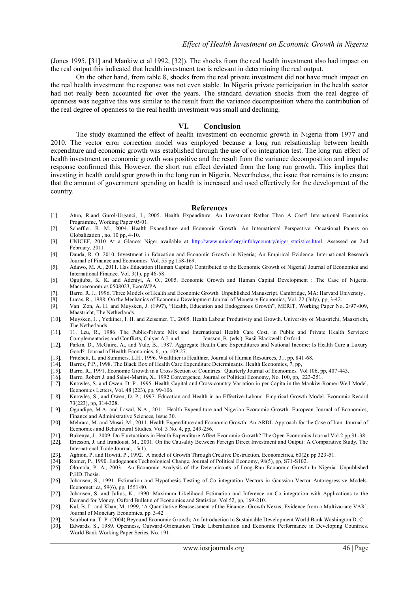(Jones 1995, [31] and Mankiw et al 1992, [32]). The shocks from the real health investment also had impact on the real output this indicated that health investment too is relevant in determining the real output.

On the other hand, from table 8, shocks from the real private investment did not have much impact on the real health investment the response was not even stable. In Nigeria private participation in the health sector had not really been accounted for over the years. The standard deviation shocks from the real degree of openness was negative this was similar to the result from the variance decomposition where the contribution of the real degree of openness to the real health investment was small and declining.

#### **VI. Conclusion**

The study examined the effect of health investment on economic growth in Nigeria from 1977 and 2010. The vector error correction model was employed because a long run relsationship between health expenditure and economic growth was established through the use of co integration test. The long run effect of health investment on economic growth was positive and the result from the variance decomposition and impulse response confirmed this. However, the short run effect deviated from the long run growth. This implies that investing in health could spur growth in the long run in Nigeria. Nevertheless, the issue that remains is to ensure that the amount of government spending on health is increased and used effectively for the development of the country.

#### **References**

- [1]. Atun, R.and Gurol-Urganci, I., 2005. Health Expenditure: An Investment Rather Than A Cost? International Economics Programme, Working Paper 05/01.
- [2]. Scheffler, R. M., 2004. Health Expenditure and Economic Growth: An International Perspective. Occasional Papers on Globalization , no. 10 pp, 4-10.
- [3]. UNICEF, 2010 At a Glance: Niger available at http://www.unicef.org/infobycountry/niger statistics.html. Assessed on 2nd February, 2011.
- [4]. Dauda, R. O. 2010, Investment in Education and Economic Growth in Nigeria; An Empirical Evidence. International Research Journal of Finance and Economics. Vol. 55 pg 158-169.
- [5]. Adawo, M. A., 2011. Has Education (Human Capital) Contributed to the Economic Growth of Nigeria? Journal of Economics and International Finance. Vol. 3(1), pp 46-58.
- [6]. Ogujiuba, K. K. and Adeniyi, A. O., 2005. Economic Growth and Human Capital Development : The Case of Nigeria. Macroeconomics 0508023, EconWPA.
- [7]. Barro, R. J., 1996. Three Models of Health and Economic Growth. Unpublished Manuscript. Cambridge, MA: Harvard University.
- [8]. Lucas, R., 1988. On the Mechanics of Economic Development Journal of Monetary Economics, Vol. 22 (July), pp, 3-42.
- [9]. Van Zon, A. H. and Muysken, J. (1997), "Health, Education and Endogenous Growth", MERIT, Working Paper No. 2/97-009, Maastricht, The Netherlands.
- [10]. Muysken, J. , Yetkiner, I. H. and Zeisemer, T., 2005. Health Labour Produtivity and Growth. University of Maastricht, Maastri cht, The Netherlands.
- [11]. 11. Leu, R., 1986. The Public-Private Mix and International Health Care Cost, in Public and Private Health Services: Complementaries and Conflicts, Culyer A.J. and Jonsson, B. (eds.), Basil Blackwell: Oxford.
- [12]. Parkin, D., McGuire, A., and Yule, B., 1987. Aggregate Health Care Expenditures and National Income: Is Health Care a Luxury Good? Journal of Health Economics, 6, pp, 109-27.
- [13]. Pritchett, L. and Summers, L.H., 1996. Wealthier is Healthier, Journal of Human Resources, 31, pp, 841-68.
- [14]. Barros, P.P., 1998. The Black Box of Health Care Expenditure Determinants, Health Economics, 7, pp,
- [15]. Barro, R., 1991. Economic Growth in a Cross Section of Countries. Quarterly Journal of Economics. Vol 106, pp, 407-443.
- [16]. Barro, Robert J. and Sala-i-Martin, X., 1992 Convergence, Journal of Political Economy, No. 100, pp, 223-251.
- [17]. Knowles, S. and Owen, D. P., 1995. Health Capital and Cross-country Variation in per Capita in the Mankiw-Romer-Weil Model, Economics Letters, Vol. 48 (223), pp, 99-106.
- [18]. Knowles, S., and Owen, D. P., 1997. Education and Health in an Effective-Labour Empirical Growth Model. Economic Record 73(223), pp, 314-328.
- [19]. Ogundipe, M.A. and Lawal, N.A., 2011. Health Expenditure and Nigerian Economic Growth. European Journal of Economics, Finance and Administrative Sciences, Issue 30.
- [20]. Mehrara, M. and Musai, M., 2011. Health Expenditure and Economic Growth: An ARDL Approach for the Case of Iran. Journal of Economics and Behavioural Studies. Vol. 3 No. 4, pp, 249-256.
- [21]. Bukenya, J., 2009. Do Fluctuations in Health Expenditure Affect Economic Growth? The Open Economics Journal Vol.2 pp,31 -38.
- [22]. Ericsson, J. and Irandoust, M., 2001. On the Causality Between Foreign Direct Investment and Output: A Comparative Study, The International Trade Journal, 15(1).
- [23]. Aghion, P. and Howitt, P., 1992. A model of Growth Through Creative Destruction. Econometrica, 60(2): pp 323-51.
- [24]. Romer, P., 1990. Endogenous Technological Change. Journal of Political Economy, 98(5), pp, S71-S102.
- [25]. Olomola, P. A., 2003. An Economic Analysis of the Determinants of Long-Run Economic Growth In Nigeria. Unpublished P.HD.Thesis.
- [26]. Johansen, S., 1991. Estimation and Hypothesis Testing of Co integration Vectors in Gaussian Vector Autoregressive Models. Econometrica, 59(6), pp, 1551-80.
- [27]. Johansen, S. and Julius, K., 1990. Maximum Likelihood Estimation and Inference on Co integration with Applications to the Demand for Money. Oxford Bulletin of Economics and Statistics. Vol.52, pp, 169-210.
- [28]. Kul, B. L. and Khan, M. 1999, "A Quantitative Reassessment of the Finance- Growth Nexus; Evidence from a Multivariate VAR". Journal of Monetary Economics. pp. 3-42
- [29]. Soubbotina, T. P. (2004) Beyound Economic Growth; An Introduction to Sustainable Development World Bank Washington D. C.
- [30]. Edwards, S., 1989. Openness, Outward-Orientation Trade Liberalization and Economic Performance in Developing Countries. World Bank Working Paper Series, No. 191.